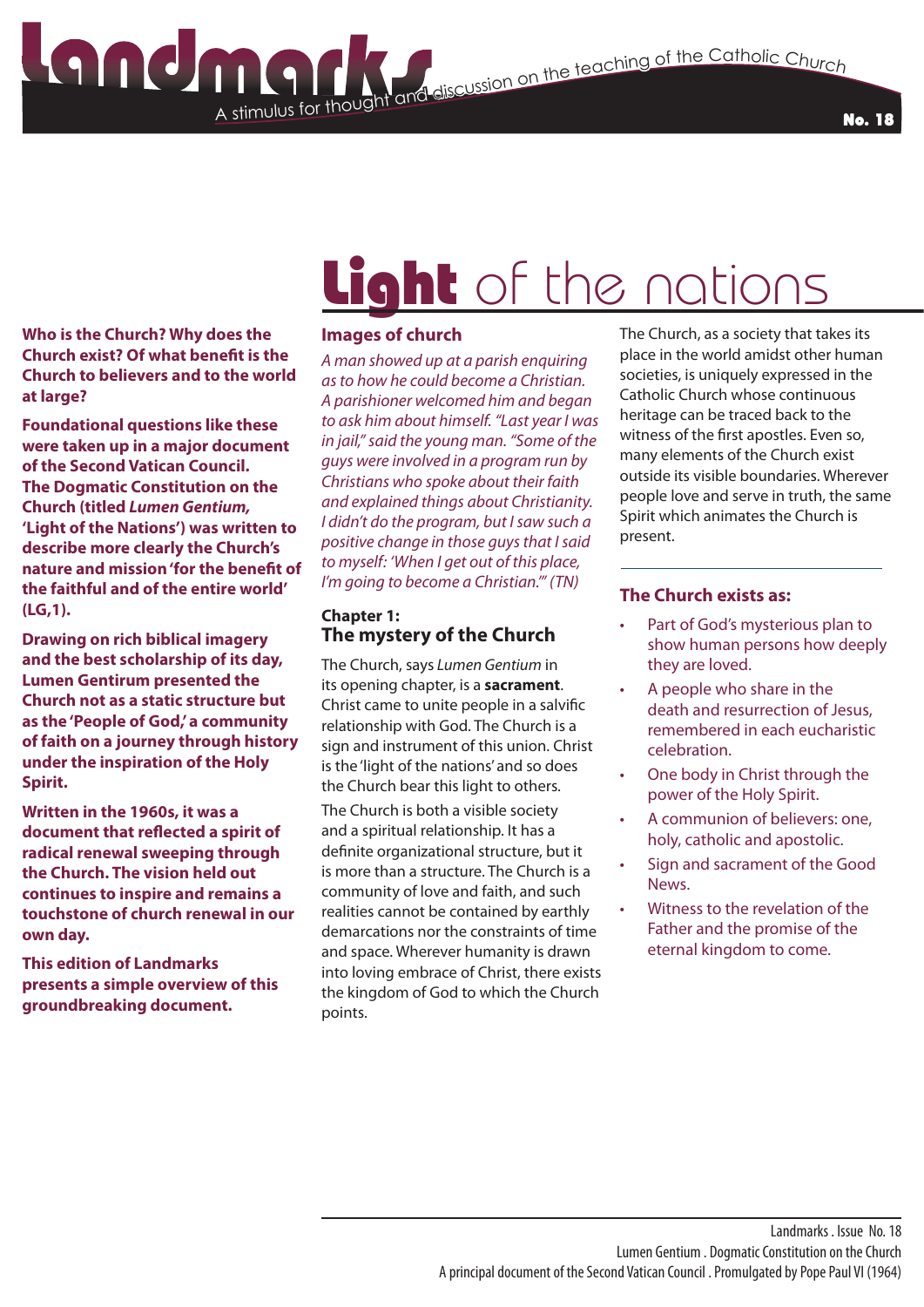No. 18

**Who is the Church? Why does the Church exist? Of what benefit is the Church to believers and to the world at large?**

**Foundational questions like these were taken up in a major document of the Second Vatican Council. The Dogmatic Constitution on the Church (titled** *Lumen Gentium,* **'Light of the Nations') was written to describe more clearly the Church's nature and mission 'for the benefit of the faithful and of the entire world' (LG,1).**

**Drawing on rich biblical imagery and the best scholarship of its day, Lumen Gentirum presented the Church not as a static structure but as the 'People of God,' a community of faith on a journey through history under the inspiration of the Holy Spirit.**

**Written in the 1960s, it was a document that reflected a spirit of radical renewal sweeping through the Church. The vision held out continues to inspire and remains a touchstone of church renewal in our own day.**

**This edition of Landmarks presents a simple overview of this groundbreaking document.**

# Light of the nations

### **Images of church**

A stimulus for thought

*A man showed up at a parish enquiring as to how he could become a Christian. A parishioner welcomed him and began to ask him about himself. "Last year I was in jail," said the young man. "Some of the guys were involved in a program run by Christians who spoke about their faith and explained things about Christianity. I didn't do the program, but I saw such a positive change in those guys that I said to myself: 'When I get out of this place, I'm going to become a Christian.'" (TN)*

#### **Chapter 1: The mystery of the Church**

The Church, says *Lumen Gentium* in its opening chapter, is a **sacrament**. Christ came to unite people in a salvific relationship with God. The Church is a sign and instrument of this union. Christ is the 'light of the nations' and so does the Church bear this light to others.

The Church is both a visible society and a spiritual relationship. It has a definite organizational structure, but it is more than a structure. The Church is a community of love and faith, and such realities cannot be contained by earthly demarcations nor the constraints of time and space. Wherever humanity is drawn into loving embrace of Christ, there exists the kingdom of God to which the Church points.

The Church, as a society that takes its place in the world amidst other human societies, is uniquely expressed in the Catholic Church whose continuous heritage can be traced back to the witness of the first apostles. Even so, many elements of the Church exist outside its visible boundaries. Wherever people love and serve in truth, the same Spirit which animates the Church is present.

#### **The Church exists as:**

- Part of God's mysterious plan to show human persons how deeply they are loved.
- A people who share in the death and resurrection of Jesus, remembered in each eucharistic celebration.
- One body in Christ through the power of the Holy Spirit.
- A communion of believers: one, holy, catholic and apostolic.
- Sign and sacrament of the Good News.
- Witness to the revelation of the Father and the promise of the eternal kingdom to come.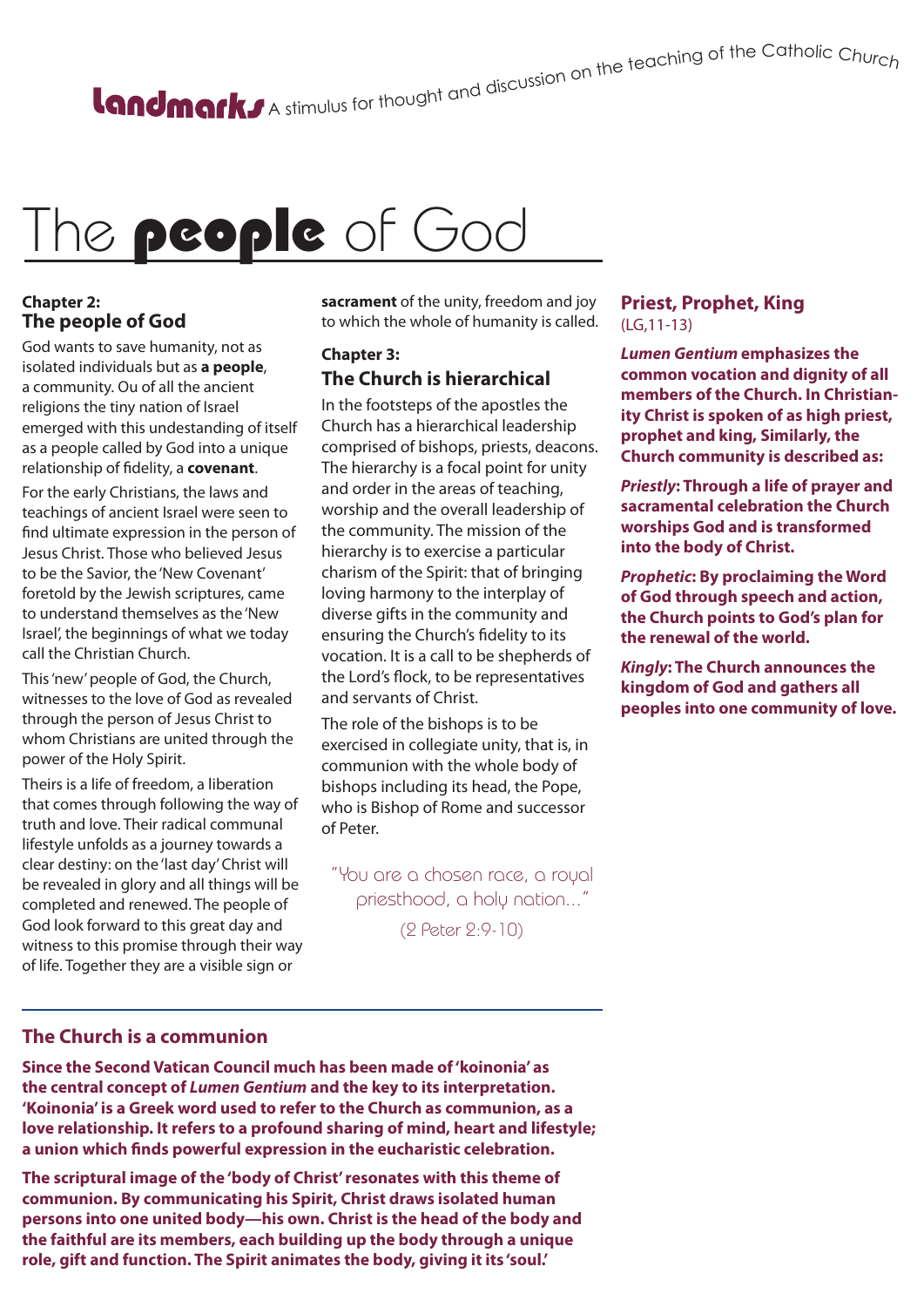# A stimulus for thought and discussion on the teaching of the Catholic Churc<sub>h</sub>

# The people of God

### **Chapter 2: The people of God**

God wants to save humanity, not as isolated individuals but as **a people**, a community. Ou of all the ancient religions the tiny nation of Israel emerged with this undestanding of itself as a people called by God into a unique relationship of fidelity, a **covenant**.

For the early Christians, the laws and teachings of ancient Israel were seen to find ultimate expression in the person of Jesus Christ. Those who believed Jesus to be the Savior, the 'New Covenant' foretold by the Jewish scriptures, came to understand themselves as the 'New Israel', the beginnings of what we today call the Christian Church.

This 'new' people of God, the Church, witnesses to the love of God as revealed through the person of Jesus Christ to whom Christians are united through the power of the Holy Spirit.

Theirs is a life of freedom, a liberation that comes through following the way of truth and love. Their radical communal lifestyle unfolds as a journey towards a clear destiny: on the 'last day' Christ will be revealed in glory and all things will be completed and renewed. The people of God look forward to this great day and witness to this promise through their way of life. Together they are a visible sign or

**sacrament** of the unity, freedom and joy to which the whole of humanity is called.

# **Chapter 3: The Church is hierarchical**

In the footsteps of the apostles the Church has a hierarchical leadership comprised of bishops, priests, deacons. The hierarchy is a focal point for unity and order in the areas of teaching, worship and the overall leadership of the community. The mission of the hierarchy is to exercise a particular charism of the Spirit: that of bringing loving harmony to the interplay of diverse gifts in the community and ensuring the Church's fidelity to its vocation. It is a call to be shepherds of the Lord's flock, to be representatives and servants of Christ.

The role of the bishops is to be exercised in collegiate unity, that is, in communion with the whole body of bishops including its head, the Pope, who is Bishop of Rome and successor of Peter.

"You are a chosen race, a royal priesthood, a holy nation..."

(2 Peter 2:9-10)

#### **Priest, Prophet, King**  (LG,11-13)

*Lumen Gentium* **emphasizes the common vocation and dignity of all members of the Church. In Christianity Christ is spoken of as high priest, prophet and king, Similarly, the Church community is described as:**

*Priestly***: Through a life of prayer and sacramental celebration the Church worships God and is transformed into the body of Christ.**

*Prophetic***: By proclaiming the Word of God through speech and action, the Church points to God's plan for the renewal of the world.**

*Kingly***: The Church announces the kingdom of God and gathers all peoples into one community of love.**

### **The Church is a communion**

**Since the Second Vatican Council much has been made of 'koinonia' as the central concept of** *Lumen Gentium* **and the key to its interpretation. 'Koinonia' is a Greek word used to refer to the Church as communion, as a love relationship. It refers to a profound sharing of mind, heart and lifestyle; a union which finds powerful expression in the eucharistic celebration.**

**The scriptural image of the 'body of Christ' resonates with this theme of communion. By communicating his Spirit, Christ draws isolated human persons into one united body—his own. Christ is the head of the body and the faithful are its members, each building up the body through a unique role, gift and function. The Spirit animates the body, giving it its 'soul.'**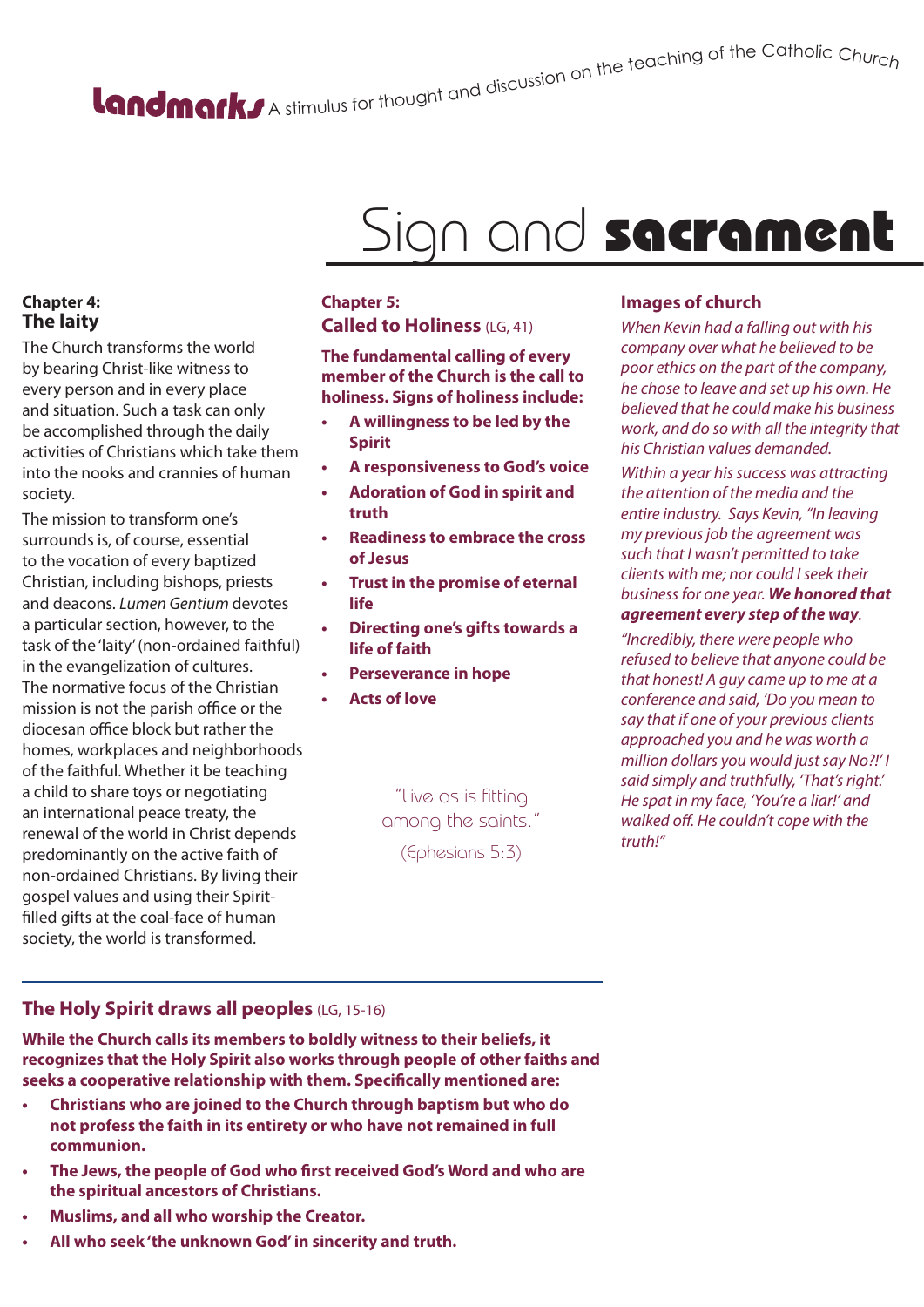# A stimulus for thought and discussion on the teaching of the Catholic Churc<sub>h</sub>

# Sign and sacrament

## **Chapter 4: The laity**

The Church transforms the world by bearing Christ-like witness to every person and in every place and situation. Such a task can only be accomplished through the daily activities of Christians which take them into the nooks and crannies of human society.

The mission to transform one's surrounds is, of course, essential to the vocation of every baptized Christian, including bishops, priests and deacons. *Lumen Gentium* devotes a particular section, however, to the task of the 'laity' (non-ordained faithful) in the evangelization of cultures. The normative focus of the Christian mission is not the parish office or the diocesan office block but rather the homes, workplaces and neighborhoods of the faithful. Whether it be teaching a child to share toys or negotiating an international peace treaty, the renewal of the world in Christ depends predominantly on the active faith of non-ordained Christians. By living their gospel values and using their Spiritfilled gifts at the coal-face of human society, the world is transformed.

### **Chapter 5: Called to Holiness** (LG, 41)

**The fundamental calling of every member of the Church is the call to holiness. Signs of holiness include:**

- **• A willingness to be led by the Spirit**
- **• A responsiveness to God's voice**
- **• Adoration of God in spirit and truth**
- **• Readiness to embrace the cross of Jesus**
- **• Trust in the promise of eternal life**
- **• Directing one's gifts towards a life of faith**
- **• Perseverance in hope**
- **• Acts of love**

"Live as is fitting among the saints."

(Ephesians 5:3)

### **Images of church**

*When Kevin had a falling out with his company over what he believed to be poor ethics on the part of the company, he chose to leave and set up his own. He believed that he could make his business work, and do so with all the integrity that his Christian values demanded.*

*Within a year his success was attracting the attention of the media and the entire industry. Says Kevin, "In leaving my previous job the agreement was such that I wasn't permitted to take clients with me; nor could I seek their business for one year. We honored that agreement every step of the way.* 

*"Incredibly, there were people who refused to believe that anyone could be that honest! A guy came up to me at a conference and said, 'Do you mean to say that if one of your previous clients approached you and he was worth a million dollars you would just say No?!' I said simply and truthfully, 'That's right.' He spat in my face, 'You're a liar!' and walked off. He couldn't cope with the truth!"*

## **The Holy Spirit draws all peoples** (LG, 15-16)

**While the Church calls its members to boldly witness to their beliefs, it recognizes that the Holy Spirit also works through people of other faiths and seeks a cooperative relationship with them. Specifically mentioned are:**

- **• Christians who are joined to the Church through baptism but who do not profess the faith in its entirety or who have not remained in full communion.**
- **• The Jews, the people of God who first received God's Word and who are the spiritual ancestors of Christians.**
- **• Muslims, and all who worship the Creator.**
- **• All who seek 'the unknown God' in sincerity and truth.**